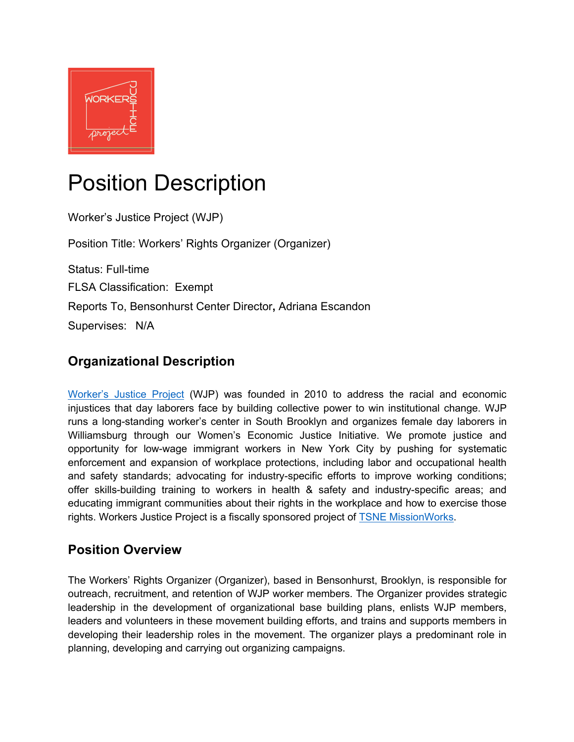

# Position Description

Worker's Justice Project (WJP) Position Title: Workers' Rights Organizer (Organizer) Status: Full-time FLSA Classification: Exempt Reports To, Bensonhurst Center Director**,** Adriana Escandon Supervises: N/A

# **Organizational Description**

Worker's Justice Project (WJP) was founded in 2010 to address the racial and economic injustices that day laborers face by building collective power to win institutional change. WJP runs a long-standing worker's center in South Brooklyn and organizes female day laborers in Williamsburg through our Women's Economic Justice Initiative. We promote justice and opportunity for low-wage immigrant workers in New York City by pushing for systematic enforcement and expansion of workplace protections, including labor and occupational health and safety standards; advocating for industry-specific efforts to improve working conditions; offer skills-building training to workers in health & safety and industry-specific areas; and educating immigrant communities about their rights in the workplace and how to exercise those rights. Workers Justice Project is a fiscally sponsored project of TSNE MissionWorks.

# **Position Overview**

The Workers' Rights Organizer (Organizer), based in Bensonhurst, Brooklyn, is responsible for outreach, recruitment, and retention of WJP worker members. The Organizer provides strategic leadership in the development of organizational base building plans, enlists WJP members, leaders and volunteers in these movement building efforts, and trains and supports members in developing their leadership roles in the movement. The organizer plays a predominant role in planning, developing and carrying out organizing campaigns.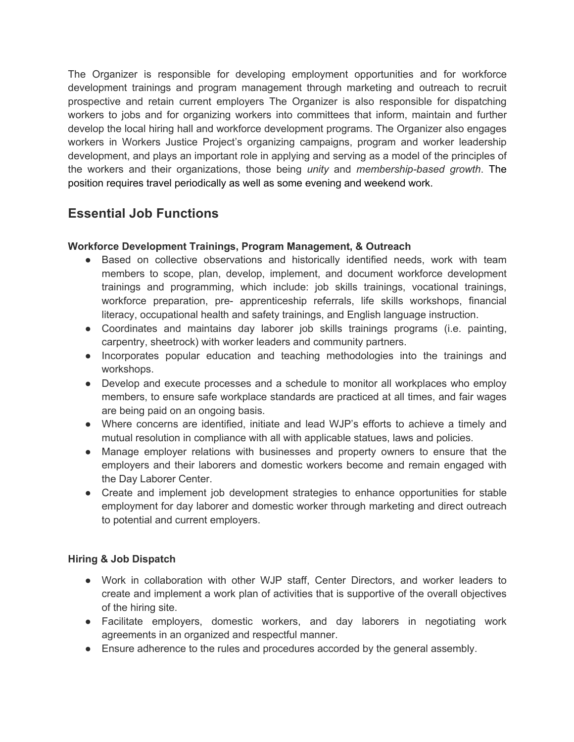The Organizer is responsible for developing employment opportunities and for workforce development trainings and program management through marketing and outreach to recruit prospective and retain current employers The Organizer is also responsible for dispatching workers to jobs and for organizing workers into committees that inform, maintain and further develop the local hiring hall and workforce development programs. The Organizer also engages workers in Workers Justice Project's organizing campaigns, program and worker leadership development, and plays an important role in applying and serving as a model of the principles of the workers and their organizations, those being *unity* and *membership-based growth*. The position requires travel periodically as well as some evening and weekend work.

# **Essential Job Functions**

#### **Workforce Development Trainings, Program Management, & Outreach**

- Based on collective observations and historically identified needs, work with team members to scope, plan, develop, implement, and document workforce development trainings and programming, which include: job skills trainings, vocational trainings, workforce preparation, pre- apprenticeship referrals, life skills workshops, financial literacy, occupational health and safety trainings, and English language instruction.
- Coordinates and maintains day laborer job skills trainings programs (i.e. painting, carpentry, sheetrock) with worker leaders and community partners.
- Incorporates popular education and teaching methodologies into the trainings and workshops.
- Develop and execute processes and a schedule to monitor all workplaces who employ members, to ensure safe workplace standards are practiced at all times, and fair wages are being paid on an ongoing basis.
- Where concerns are identified, initiate and lead WJP's efforts to achieve a timely and mutual resolution in compliance with all with applicable statues, laws and policies.
- Manage employer relations with businesses and property owners to ensure that the employers and their laborers and domestic workers become and remain engaged with the Day Laborer Center.
- Create and implement job development strategies to enhance opportunities for stable employment for day laborer and domestic worker through marketing and direct outreach to potential and current employers.

#### **Hiring & Job Dispatch**

- Work in collaboration with other WJP staff, Center Directors, and worker leaders to create and implement a work plan of activities that is supportive of the overall objectives of the hiring site.
- Facilitate employers, domestic workers, and day laborers in negotiating work agreements in an organized and respectful manner.
- Ensure adherence to the rules and procedures accorded by the general assembly.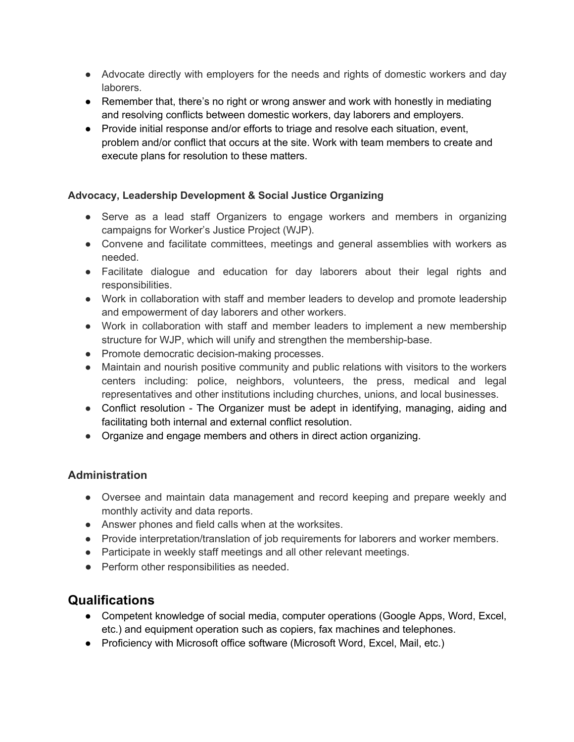- Advocate directly with employers for the needs and rights of domestic workers and day laborers.
- Remember that, there's no right or wrong answer and work with honestly in mediating and resolving conflicts between domestic workers, day laborers and employers.
- Provide initial response and/or efforts to triage and resolve each situation, event, problem and/or conflict that occurs at the site. Work with team members to create and execute plans for resolution to these matters.

#### **Advocacy, Leadership Development & Social Justice Organizing**

- Serve as a lead staff Organizers to engage workers and members in organizing campaigns for Worker's Justice Project (WJP).
- Convene and facilitate committees, meetings and general assemblies with workers as needed.
- Facilitate dialogue and education for day laborers about their legal rights and responsibilities.
- Work in collaboration with staff and member leaders to develop and promote leadership and empowerment of day laborers and other workers.
- Work in collaboration with staff and member leaders to implement a new membership structure for WJP, which will unify and strengthen the membership-base.
- Promote democratic decision-making processes.
- Maintain and nourish positive community and public relations with visitors to the workers centers including: police, neighbors, volunteers, the press, medical and legal representatives and other institutions including churches, unions, and local businesses.
- Conflict resolution The Organizer must be adept in identifying, managing, aiding and facilitating both internal and external conflict resolution.
- Organize and engage members and others in direct action organizing.

#### **Administration**

- Oversee and maintain data management and record keeping and prepare weekly and monthly activity and data reports.
- Answer phones and field calls when at the worksites.
- Provide interpretation/translation of job requirements for laborers and worker members.
- Participate in weekly staff meetings and all other relevant meetings.
- Perform other responsibilities as needed.

# **Qualifications**

- Competent knowledge of social media, computer operations (Google Apps, Word, Excel, etc.) and equipment operation such as copiers, fax machines and telephones.
- Proficiency with Microsoft office software (Microsoft Word, Excel, Mail, etc.)